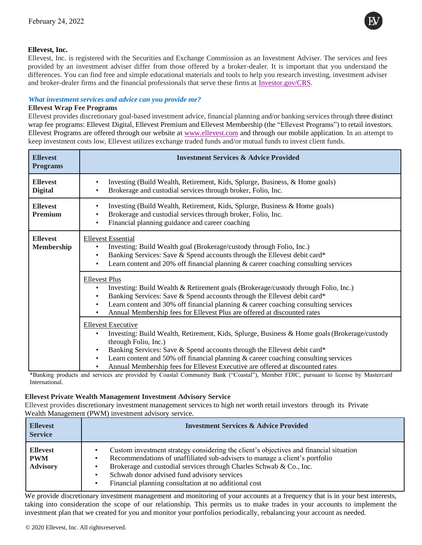

## **Ellevest, Inc.**

Ellevest, Inc. is registered with the Securities and Exchange Commission as an Investment Adviser. The services and fees provided by an investment adviser differ from those offered by a broker-dealer. It is important that you understand the differences. You can find free and simple educational materials and tools to help you research investing, investment adviser and broker-dealer firms and the financial professionals that serve these firms at [Investor.gov/CRS.](https://www.investor.gov/CRS)

## *What investment services and advice can you provide me?*

## **Ellevest Wrap Fee Programs**

Ellevest provides discretionary goal-based investment advice, financial planning and/or banking servicesthrough three distinct wrap fee programs: Ellevest Digital, Ellevest Premium and Ellevest Membership (the "Ellevest Programs") to retail investors. Ellevest Programs are offered through our website [at www.ellevest.com](http://www.ellevest.com/) and through our mobile application. In an attempt to keep investment costs low, Ellevest utilizes exchange traded funds and/or mutual funds to invest client funds.

| <b>Ellevest</b><br><b>Programs</b>   | <b>Investment Services &amp; Advice Provided</b>                                                                                                                                                                                                                                                                                                                                                                     |
|--------------------------------------|----------------------------------------------------------------------------------------------------------------------------------------------------------------------------------------------------------------------------------------------------------------------------------------------------------------------------------------------------------------------------------------------------------------------|
| <b>Ellevest</b><br><b>Digital</b>    | Investing (Build Wealth, Retirement, Kids, Splurge, Business, & Home goals)<br>٠<br>Brokerage and custodial services through broker, Folio, Inc.                                                                                                                                                                                                                                                                     |
| <b>Ellevest</b><br><b>Premium</b>    | Investing (Build Wealth, Retirement, Kids, Splurge, Business & Home goals)<br>٠<br>Brokerage and custodial services through broker, Folio, Inc.<br>Financial planning guidance and career coaching                                                                                                                                                                                                                   |
| <b>Ellevest</b><br><b>Membership</b> | <b>Ellevest Essential</b><br>Investing: Build Wealth goal (Brokerage/custody through Folio, Inc.)<br>Banking Services: Save & Spend accounts through the Ellevest debit card*<br>Learn content and 20% off financial planning & career coaching consulting services                                                                                                                                                  |
|                                      | <b>Ellevest Plus</b><br>Investing: Build Wealth & Retirement goals (Brokerage/custody through Folio, Inc.)<br>Banking Services: Save & Spend accounts through the Ellevest debit card*<br>Learn content and 30% off financial planning & career coaching consulting services<br>$\bullet$<br>Annual Membership fees for Ellevest Plus are offered at discounted rates                                                |
|                                      | <b>Ellevest Executive</b><br>Investing: Build Wealth, Retirement, Kids, Splurge, Business & Home goals (Brokerage/custody<br>through Folio, Inc.)<br>Banking Services: Save & Spend accounts through the Ellevest debit card*<br>Learn content and 50% off financial planning $\&$ career coaching consulting services<br>$\bullet$<br>Annual Membership fees for Ellevest Executive are offered at discounted rates |

\*Banking products and services are provided by Coastal Community Bank ("Coastal"), Member FDIC, pursuant to license by Mastercard International.

#### **Ellevest Private Wealth Management Investment Advisory Service**

Ellevest provides discretionary investment management services to high net worth retail investors through its Private Wealth Management (PWM) investment advisory service.

| <b>Ellevest</b><br><b>Service</b>                | <b>Investment Services &amp; Advice Provided</b>                                                                                                                                                                                                                                                                                                     |
|--------------------------------------------------|------------------------------------------------------------------------------------------------------------------------------------------------------------------------------------------------------------------------------------------------------------------------------------------------------------------------------------------------------|
| <b>Ellevest</b><br><b>PWM</b><br><b>Advisory</b> | Custom investment strategy considering the client's objectives and financial situation<br>Recommendations of unaffiliated sub-advisers to manage a client's portfolio<br>Brokerage and custodial services through Charles Schwab & Co., Inc.<br>Schwab donor advised fund advisory services<br>Financial planning consultation at no additional cost |

We provide discretionary investment management and monitoring of your accounts at a frequency that is in your best interests, taking into consideration the scope of our relationship. This permits us to make trades in your accounts to implement the investment plan that we created for you and monitor your portfolios periodically, rebalancing your account as needed.